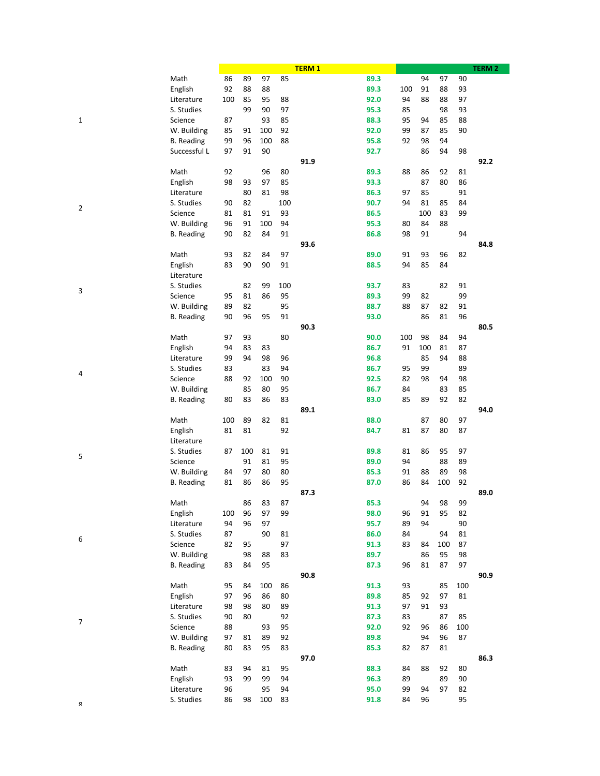|   |                   |     |     |     |     | <b>TERM1</b> |     |     |     |     | <b>TERM 2</b> |
|---|-------------------|-----|-----|-----|-----|--------------|-----|-----|-----|-----|---------------|
|   | Math              | 86  | 89  | 97  | 85  | 89.3         |     | 94  | 97  | 90  |               |
|   | English           | 92  | 88  | 88  |     | 89.3         | 100 | 91  | 88  | 93  |               |
|   | Literature        | 100 | 85  | 95  | 88  | 92.0         | 94  | 88  | 88  | 97  |               |
|   | S. Studies        |     | 99  | 90  | 97  | 95.3         | 85  |     | 98  | 93  |               |
| 1 | Science           | 87  |     | 93  | 85  | 88.3         | 95  | 94  | 85  | 88  |               |
|   | W. Building       | 85  | 91  | 100 | 92  | 92.0         | 99  | 87  | 85  | 90  |               |
|   |                   | 99  | 96  | 100 | 88  | 95.8         |     | 98  | 94  |     |               |
|   | <b>B.</b> Reading |     |     |     |     |              | 92  |     |     |     |               |
|   | Successful L      | 97  | 91  | 90  |     | 92.7         |     | 86  | 94  | 98  |               |
|   |                   |     |     |     |     | 91.9         |     |     |     |     | 92.2          |
|   | Math              | 92  |     | 96  | 80  | 89.3         | 88  | 86  | 92  | 81  |               |
|   | English           | 98  | 93  | 97  | 85  | 93.3         |     | 87  | 80  | 86  |               |
|   | Literature        |     | 80  | 81  | 98  | 86.3         | 97  | 85  |     | 91  |               |
| 2 | S. Studies        | 90  | 82  |     | 100 | 90.7         | 94  | 81  | 85  | 84  |               |
|   | Science           | 81  | 81  | 91  | 93  | 86.5         |     | 100 | 83  | 99  |               |
|   | W. Building       | 96  | 91  | 100 | 94  | 95.3         | 80  | 84  | 88  |     |               |
|   | <b>B.</b> Reading | 90  | 82  | 84  | 91  | 86.8         | 98  | 91  |     | 94  |               |
|   |                   |     |     |     |     | 93.6         |     |     |     |     | 84.8          |
|   | Math              | 93  | 82  | 84  | 97  | 89.0         | 91  | 93  | 96  | 82  |               |
|   | English           | 83  | 90  | 90  | 91  | 88.5         | 94  | 85  | 84  |     |               |
|   | Literature        |     |     |     |     |              |     |     |     |     |               |
|   |                   |     |     |     |     |              |     |     |     |     |               |
| 3 | S. Studies        |     | 82  | 99  | 100 | 93.7         | 83  |     | 82  | 91  |               |
|   | Science           | 95  | 81  | 86  | 95  | 89.3         | 99  | 82  |     | 99  |               |
|   | W. Building       | 89  | 82  |     | 95  | 88.7         | 88  | 87  | 82  | 91  |               |
|   | <b>B.</b> Reading | 90  | 96  | 95  | 91  | 93.0         |     | 86  | 81  | 96  |               |
|   |                   |     |     |     |     | 90.3         |     |     |     |     | 80.5          |
|   | Math              | 97  | 93  |     | 80  | 90.0         | 100 | 98  | 84  | 94  |               |
|   | English           | 94  | 83  | 83  |     | 86.7         | 91  | 100 | 81  | 87  |               |
|   | Literature        | 99  | 94  | 98  | 96  | 96.8         |     | 85  | 94  | 88  |               |
|   | S. Studies        | 83  |     | 83  | 94  | 86.7         | 95  | 99  |     | 89  |               |
| 4 | Science           | 88  | 92  | 100 | 90  | 92.5         | 82  | 98  | 94  | 98  |               |
|   | W. Building       |     | 85  | 80  | 95  | 86.7         | 84  |     | 83  | 85  |               |
|   | <b>B.</b> Reading | 80  | 83  | 86  | 83  | 83.0         | 85  | 89  | 92  | 82  |               |
|   |                   |     |     |     |     | 89.1         |     |     |     |     | 94.0          |
|   |                   |     |     |     |     |              |     |     |     |     |               |
|   | Math              | 100 | 89  | 82  | 81  | 88.0         |     | 87  | 80  | 97  |               |
|   | English           | 81  | 81  |     | 92  | 84.7         | 81  | 87  | 80  | 87  |               |
|   | Literature        |     |     |     |     |              |     |     |     |     |               |
| 5 | S. Studies        | 87  | 100 | 81  | 91  | 89.8         | 81  | 86  | 95  | 97  |               |
|   | Science           |     | 91  | 81  | 95  | 89.0         | 94  |     | 88  | 89  |               |
|   | W. Building       | 84  | 97  | 80  | 80  | 85.3         | 91  | 88  | 89  | 98  |               |
|   | <b>B.</b> Reading | 81  | 86  | 86  | 95  | 87.0         | 86  | 84  | 100 | 92  |               |
|   |                   |     |     |     |     | 87.3         |     |     |     |     | 89.0          |
|   | Math              |     | 86  | 83  | 87  | 85.3         |     | 94  | 98  | 99  |               |
|   | English           | 100 | 96  | 97  | 99  | 98.0         | 96  | 91  | 95  | 82  |               |
|   | Literature        | 94  | 96  | 97  |     | 95.7         | 89  | 94  |     | 90  |               |
|   | S. Studies        | 87  |     | 90  | 81  | 86.0         | 84  |     | 94  | 81  |               |
| 6 | Science           | 82  | 95  |     | 97  | 91.3         | 83  | 84  | 100 | 87  |               |
|   | W. Building       |     | 98  | 88  | 83  | 89.7         |     | 86  | 95  | 98  |               |
|   |                   |     |     |     |     |              |     |     |     |     |               |
|   | <b>B.</b> Reading | 83  | 84  | 95  |     | 87.3         | 96  | 81  | 87  | 97  |               |
|   |                   |     |     |     |     | 90.8         |     |     |     |     | 90.9          |
|   | Math              | 95  | 84  | 100 | 86  | 91.3         | 93  |     | 85  | 100 |               |
|   | English           | 97  | 96  | 86  | 80  | 89.8         | 85  | 92  | 97  | 81  |               |
|   | Literature        | 98  | 98  | 80  | 89  | 91.3         | 97  | 91  | 93  |     |               |
| 7 | S. Studies        | 90  | 80  |     | 92  | 87.3         | 83  |     | 87  | 85  |               |
|   | Science           | 88  |     | 93  | 95  | 92.0         | 92  | 96  | 86  | 100 |               |
|   | W. Building       | 97  | 81  | 89  | 92  | 89.8         |     | 94  | 96  | 87  |               |
|   | <b>B.</b> Reading | 80  | 83  | 95  | 83  | 85.3         | 82  | 87  | 81  |     |               |
|   |                   |     |     |     |     | 97.0         |     |     |     |     | 86.3          |
|   | Math              | 83  | 94  | 81  | 95  | 88.3         | 84  | 88  | 92  | 80  |               |
|   |                   | 93  | 99  | 99  | 94  | 96.3         |     |     | 89  |     |               |
|   | English           |     |     |     |     |              | 89  |     |     | 90  |               |
|   | Literature        | 96  |     | 95  | 94  | 95.0         | 99  | 94  | 97  | 82  |               |
| Ω | S. Studies        | 86  | 98  | 100 | 83  | 91.8         | 84  | 96  |     | 95  |               |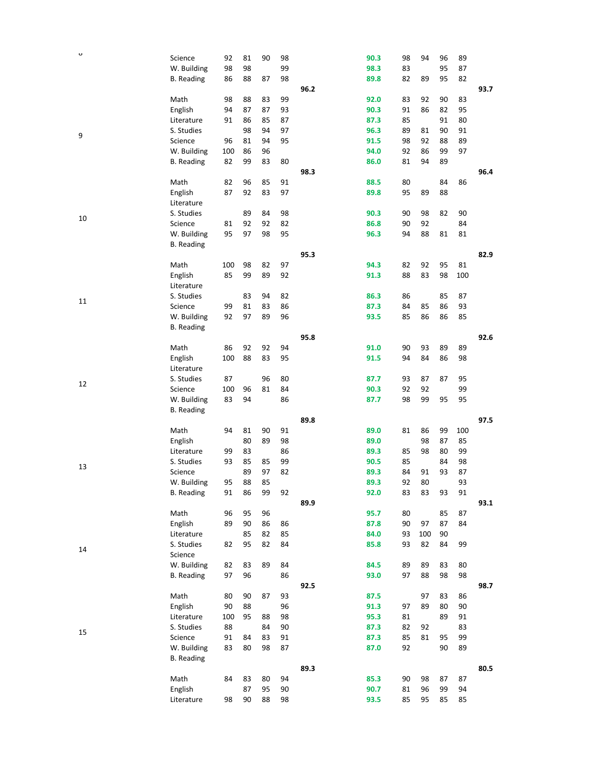| $\mathbf o$ |                   |     |    |    |    |      |      |    |     |    |     |      |
|-------------|-------------------|-----|----|----|----|------|------|----|-----|----|-----|------|
|             | Science           | 92  | 81 | 90 | 98 |      | 90.3 | 98 | 94  | 96 | 89  |      |
|             | W. Building       | 98  | 98 |    | 99 |      | 98.3 | 83 |     | 95 | 87  |      |
|             | <b>B.</b> Reading | 86  | 88 | 87 | 98 |      | 89.8 | 82 | 89  | 95 | 82  |      |
|             |                   |     |    |    |    | 96.2 |      |    |     |    |     | 93.7 |
|             |                   |     |    |    |    |      |      |    |     |    |     |      |
|             | Math              | 98  | 88 | 83 | 99 |      | 92.0 | 83 | 92  | 90 | 83  |      |
|             | English           | 94  | 87 | 87 | 93 |      | 90.3 | 91 | 86  | 82 | 95  |      |
|             | Literature        | 91  | 86 | 85 | 87 |      | 87.3 | 85 |     | 91 | 80  |      |
|             | S. Studies        |     | 98 | 94 | 97 |      | 96.3 | 89 | 81  | 90 | 91  |      |
| 9           |                   |     |    |    |    |      |      |    |     |    |     |      |
|             | Science           | 96  | 81 | 94 | 95 |      | 91.5 | 98 | 92  | 88 | 89  |      |
|             | W. Building       | 100 | 86 | 96 |    |      | 94.0 | 92 | 86  | 99 | 97  |      |
|             | <b>B.</b> Reading | 82  | 99 | 83 | 80 |      | 86.0 | 81 | 94  | 89 |     |      |
|             |                   |     |    |    |    | 98.3 |      |    |     |    |     | 96.4 |
|             |                   |     |    |    |    |      |      |    |     |    |     |      |
|             | Math              | 82  | 96 | 85 | 91 |      | 88.5 | 80 |     | 84 | 86  |      |
|             | English           | 87  | 92 | 83 | 97 |      | 89.8 | 95 | 89  | 88 |     |      |
|             | Literature        |     |    |    |    |      |      |    |     |    |     |      |
|             | S. Studies        |     | 89 | 84 | 98 |      | 90.3 | 90 | 98  | 82 | 90  |      |
| 10          |                   |     |    |    |    |      |      |    | 92  |    |     |      |
|             | Science           | 81  | 92 | 92 | 82 |      | 86.8 | 90 |     |    | 84  |      |
|             | W. Building       | 95  | 97 | 98 | 95 |      | 96.3 | 94 | 88  | 81 | 81  |      |
|             | <b>B.</b> Reading |     |    |    |    |      |      |    |     |    |     |      |
|             |                   |     |    |    |    | 95.3 |      |    |     |    |     | 82.9 |
|             | Math              | 100 | 98 | 82 | 97 |      | 94.3 | 82 | 92  | 95 | 81  |      |
|             |                   |     |    |    |    |      |      |    |     |    |     |      |
|             | English           | 85  | 99 | 89 | 92 |      | 91.3 | 88 | 83  | 98 | 100 |      |
|             | Literature        |     |    |    |    |      |      |    |     |    |     |      |
|             | S. Studies        |     | 83 | 94 | 82 |      | 86.3 | 86 |     | 85 | 87  |      |
| 11          | Science           | 99  | 81 | 83 | 86 |      | 87.3 | 84 | 85  | 86 | 93  |      |
|             | W. Building       | 92  | 97 | 89 | 96 |      | 93.5 | 85 | 86  | 86 | 85  |      |
|             |                   |     |    |    |    |      |      |    |     |    |     |      |
|             | <b>B.</b> Reading |     |    |    |    |      |      |    |     |    |     |      |
|             |                   |     |    |    |    | 95.8 |      |    |     |    |     | 92.6 |
|             | Math              | 86  | 92 | 92 | 94 |      | 91.0 | 90 | 93  | 89 | 89  |      |
|             | English           | 100 | 88 | 83 | 95 |      | 91.5 | 94 | 84  | 86 | 98  |      |
|             |                   |     |    |    |    |      |      |    |     |    |     |      |
|             | Literature        |     |    |    |    |      |      |    |     |    |     |      |
| 12          | S. Studies        | 87  |    | 96 | 80 |      | 87.7 | 93 | 87  | 87 | 95  |      |
|             | Science           | 100 | 96 | 81 | 84 |      | 90.3 | 92 | 92  |    | 99  |      |
|             | W. Building       | 83  | 94 |    | 86 |      | 87.7 | 98 | 99  | 95 | 95  |      |
|             | <b>B.</b> Reading |     |    |    |    |      |      |    |     |    |     |      |
|             |                   |     |    |    |    |      |      |    |     |    |     |      |
|             |                   |     |    |    |    | 89.8 |      |    |     |    |     | 97.5 |
|             | Math              | 94  | 81 | 90 | 91 |      | 89.0 | 81 | 86  | 99 | 100 |      |
|             | English           |     | 80 | 89 | 98 |      | 89.0 |    | 98  | 87 | 85  |      |
|             | Literature        | 99  | 83 |    | 86 |      | 89.3 | 85 | 98  | 80 | 99  |      |
|             | S. Studies        | 93  | 85 | 85 | 99 |      |      |    |     | 84 | 98  |      |
| 13          |                   |     |    |    |    |      | 90.5 | 85 |     |    |     |      |
|             | Science           |     | 89 | 97 | 82 |      | 89.3 | 84 | 91  | 93 | 87  |      |
|             | W. Building       | 95  | 88 | 85 |    |      | 89.3 | 92 | 80  |    | 93  |      |
|             | <b>B.</b> Reading | 91  | 86 | 99 | 92 |      | 92.0 | 83 | 83  | 93 | 91  |      |
|             |                   |     |    |    |    | 89.9 |      |    |     |    |     | 93.1 |
|             |                   |     |    |    |    |      |      |    |     |    |     |      |
|             | Math              | 96  | 95 | 96 |    |      | 95.7 | 80 |     | 85 | 87  |      |
|             | English           | 89  | 90 | 86 | 86 |      | 87.8 | 90 | 97  | 87 | 84  |      |
|             | Literature        |     | 85 | 82 | 85 |      | 84.0 | 93 | 100 | 90 |     |      |
|             | S. Studies        | 82  | 95 | 82 | 84 |      | 85.8 | 93 | 82  | 84 | 99  |      |
| 14          | Science           |     |    |    |    |      |      |    |     |    |     |      |
|             |                   |     |    |    |    |      |      |    |     |    |     |      |
|             | W. Building       | 82  | 83 | 89 | 84 |      | 84.5 | 89 | 89  | 83 | 80  |      |
|             | <b>B.</b> Reading | 97  | 96 |    | 86 |      | 93.0 | 97 | 88  | 98 | 98  |      |
|             |                   |     |    |    |    | 92.5 |      |    |     |    |     | 98.7 |
|             | Math              | 80  | 90 | 87 | 93 |      | 87.5 |    | 97  | 83 | 86  |      |
|             |                   |     |    |    |    |      |      |    |     |    |     |      |
|             | English           | 90  | 88 |    | 96 |      | 91.3 | 97 | 89  | 80 | 90  |      |
|             | Literature        | 100 | 95 | 88 | 98 |      | 95.3 | 81 |     | 89 | 91  |      |
|             | S. Studies        | 88  |    | 84 | 90 |      | 87.3 | 82 | 92  |    | 83  |      |
| 15          | Science           | 91  | 84 | 83 | 91 |      | 87.3 | 85 | 81  | 95 | 99  |      |
|             | W. Building       | 83  | 80 | 98 | 87 |      | 87.0 | 92 |     | 90 | 89  |      |
|             | <b>B.</b> Reading |     |    |    |    |      |      |    |     |    |     |      |
|             |                   |     |    |    |    |      |      |    |     |    |     |      |
|             |                   |     |    |    |    | 89.3 |      |    |     |    |     | 80.5 |
|             | Math              | 84  | 83 | 80 | 94 |      | 85.3 | 90 | 98  | 87 | 87  |      |
|             | English           |     | 87 | 95 | 90 |      | 90.7 | 81 | 96  | 99 | 94  |      |
|             | Literature        | 98  | 90 | 88 | 98 |      | 93.5 | 85 | 95  | 85 | 85  |      |
|             |                   |     |    |    |    |      |      |    |     |    |     |      |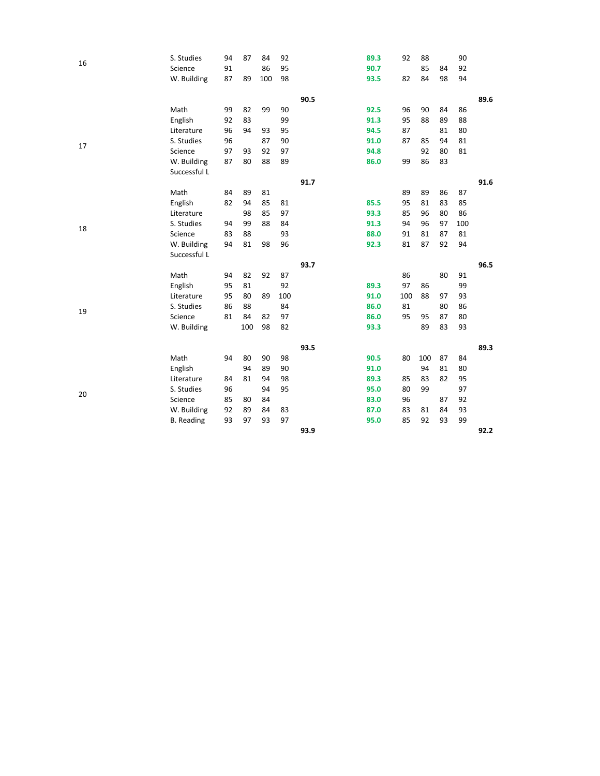| 16 | S. Studies        | 94 | 87  | 84  | 92  |      | 89.3 | 92  | 88  |    | 90  |      |
|----|-------------------|----|-----|-----|-----|------|------|-----|-----|----|-----|------|
|    | Science           | 91 |     | 86  | 95  |      | 90.7 |     | 85  | 84 | 92  |      |
|    | W. Building       | 87 | 89  | 100 | 98  |      | 93.5 | 82  | 84  | 98 | 94  |      |
|    |                   |    |     |     |     | 90.5 |      |     |     |    |     | 89.6 |
|    | Math              | 99 | 82  | 99  | 90  |      | 92.5 | 96  | 90  | 84 | 86  |      |
|    | English           | 92 | 83  |     | 99  |      | 91.3 | 95  | 88  | 89 | 88  |      |
|    | Literature        | 96 | 94  | 93  | 95  |      | 94.5 | 87  |     | 81 | 80  |      |
|    | S. Studies        | 96 |     | 87  | 90  |      | 91.0 | 87  | 85  | 94 | 81  |      |
| 17 | Science           | 97 | 93  | 92  | 97  |      | 94.8 |     | 92  | 80 | 81  |      |
|    | W. Building       | 87 | 80  | 88  | 89  |      | 86.0 | 99  | 86  | 83 |     |      |
|    | Successful L      |    |     |     |     |      |      |     |     |    |     |      |
|    |                   |    |     |     |     | 91.7 |      |     |     |    |     | 91.6 |
|    | Math              | 84 | 89  | 81  |     |      |      | 89  | 89  | 86 | 87  |      |
|    | English           | 82 | 94  | 85  | 81  |      | 85.5 | 95  | 81  | 83 | 85  |      |
|    | Literature        |    | 98  | 85  | 97  |      | 93.3 | 85  | 96  | 80 | 86  |      |
|    | S. Studies        | 94 | 99  | 88  | 84  |      | 91.3 | 94  | 96  | 97 | 100 |      |
| 18 | Science           | 83 | 88  |     | 93  |      | 88.0 | 91  | 81  | 87 | 81  |      |
|    | W. Building       | 94 | 81  | 98  | 96  |      | 92.3 | 81  | 87  | 92 | 94  |      |
|    | Successful L      |    |     |     |     |      |      |     |     |    |     |      |
|    |                   |    |     |     |     | 93.7 |      |     |     |    |     | 96.5 |
|    | Math              | 94 | 82  | 92  | 87  |      |      | 86  |     | 80 | 91  |      |
|    | English           | 95 | 81  |     | 92  |      | 89.3 | 97  | 86  |    | 99  |      |
|    | Literature        | 95 | 80  | 89  | 100 |      | 91.0 | 100 | 88  | 97 | 93  |      |
| 19 | S. Studies        | 86 | 88  |     | 84  |      | 86.0 | 81  |     | 80 | 86  |      |
|    | Science           | 81 | 84  | 82  | 97  |      | 86.0 | 95  | 95  | 87 | 80  |      |
|    | W. Building       |    | 100 | 98  | 82  |      | 93.3 |     | 89  | 83 | 93  |      |
|    |                   |    |     |     |     | 93.5 |      |     |     |    |     | 89.3 |
|    | Math              | 94 | 80  | 90  | 98  |      | 90.5 | 80  | 100 | 87 | 84  |      |
|    | English           |    | 94  | 89  | 90  |      | 91.0 |     | 94  | 81 | 80  |      |
|    | Literature        | 84 | 81  | 94  | 98  |      | 89.3 | 85  | 83  | 82 | 95  |      |
|    | S. Studies        | 96 |     | 94  | 95  |      | 95.0 | 80  | 99  |    | 97  |      |
| 20 | Science           | 85 | 80  | 84  |     |      | 83.0 | 96  |     | 87 | 92  |      |
|    | W. Building       | 92 | 89  | 84  | 83  |      | 87.0 | 83  | 81  | 84 | 93  |      |
|    | <b>B.</b> Reading | 93 | 97  | 93  | 97  |      | 95.0 | 85  | 92  | 93 | 99  |      |
|    |                   |    |     |     |     | 93.9 |      |     |     |    |     | 92.2 |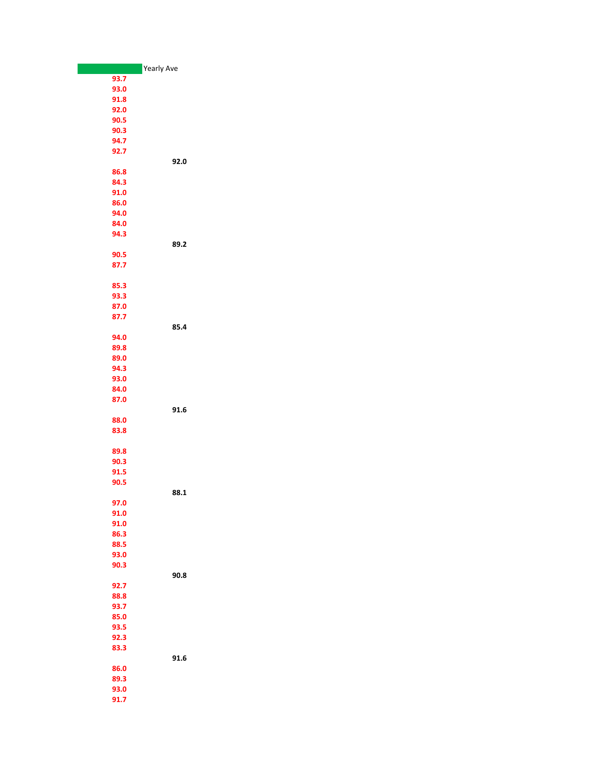|      | <b>Yearly Ave</b> |
|------|-------------------|
| 93.7 |                   |
| 93.0 |                   |
| 91.8 |                   |
| 92.0 |                   |
| 90.5 |                   |
| 90.3 |                   |
| 94.7 |                   |
| 92.7 |                   |
|      | 92.0              |
| 86.8 |                   |
| 84.3 |                   |
| 91.0 |                   |
| 86.0 |                   |
| 94.0 |                   |
| 84.0 |                   |
| 94.3 |                   |
|      | 89.2              |
|      |                   |
| 90.5 |                   |
| 87.7 |                   |
|      |                   |
| 85.3 |                   |
| 93.3 |                   |
| 87.0 |                   |
| 87.7 |                   |
|      | 85.4              |
| 94.0 |                   |
| 89.8 |                   |
| 89.0 |                   |
| 94.3 |                   |
| 93.0 |                   |
| 84.0 |                   |
| 87.0 |                   |
|      | 91.6              |
| 88.0 |                   |
| 83.8 |                   |
|      |                   |
| 89.8 |                   |
| 90.3 |                   |
| 91.5 |                   |
| 90.5 |                   |
|      | 88.1              |
| 97.0 |                   |
| 91.0 |                   |
| 91.0 |                   |
| 86.3 |                   |
| 88.5 |                   |
| 93.0 |                   |
| 90.3 |                   |
|      | 90.8              |
| 92.7 |                   |
| 88.8 |                   |
| 93.7 |                   |
| 85.0 |                   |
| 93.5 |                   |
| 92.3 |                   |
| 83.3 |                   |
|      | 91.6              |
| 86.0 |                   |
| 89.3 |                   |
| 93.0 |                   |
| 91.7 |                   |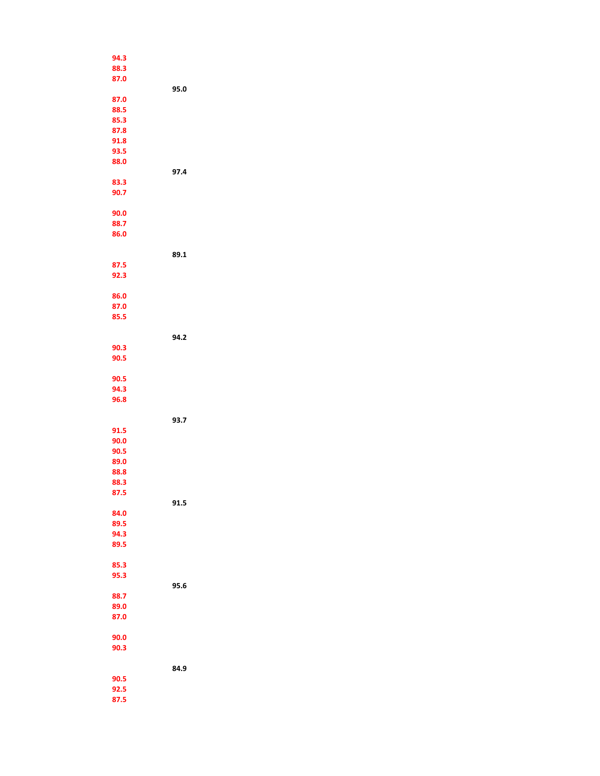| 94.3 |      |
|------|------|
| 88.3 |      |
| 87.0 |      |
|      | 95.0 |
| 87.0 |      |
|      |      |
| 88.5 |      |
| 85.3 |      |
| 87.8 |      |
| 91.8 |      |
| 93.5 |      |
| 88.0 |      |
|      | 97.4 |
| 83.3 |      |
| 90.7 |      |
|      |      |
| 90.0 |      |
|      |      |
| 88.7 |      |
| 86.0 |      |
|      |      |
|      | 89.1 |
| 87.5 |      |
| 92.3 |      |
|      |      |
| 86.0 |      |
| 87.0 |      |
| 85.5 |      |
|      |      |
|      | 94.2 |
| 90.3 |      |
| 90.5 |      |
|      |      |
| 90.5 |      |
|      |      |
| 94.3 |      |
| 96.8 |      |
|      |      |
|      | 93.7 |
| 91.5 |      |
| 90.0 |      |
| 90.5 |      |
| 89.0 |      |
| 88.8 |      |
| 88.3 |      |
| 87.5 |      |
|      | 91.5 |
| 84.0 |      |
| 89.5 |      |
| 94.3 |      |
|      |      |
| 89.5 |      |
|      |      |
| 85.3 |      |
| 95.3 |      |
|      | 95.6 |
| 88.7 |      |
| 89.0 |      |
| 87.0 |      |
|      |      |
| 90.0 |      |
| 90.3 |      |
|      |      |
|      | 84.9 |
| 90.5 |      |
| 92.5 |      |
| 87.5 |      |
|      |      |